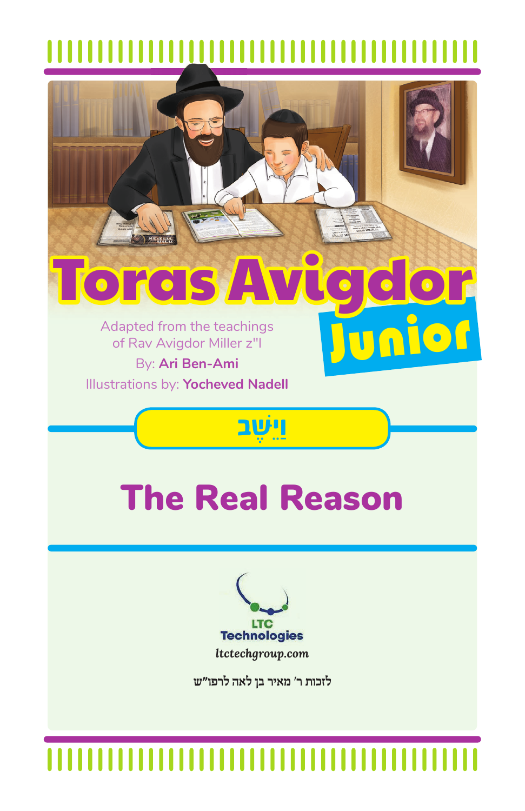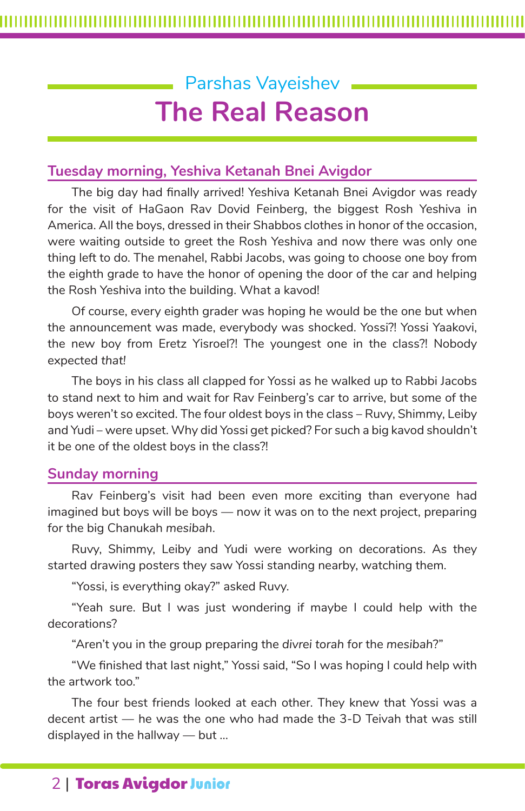# Parshas Vayeishev **The Real Reason**

### **Tuesday morning, Yeshiva Ketanah Bnei Avigdor**

The big day had finally arrived! Yeshiva Ketanah Bnei Avigdor was ready for the visit of HaGaon Rav Dovid Feinberg, the biggest Rosh Yeshiva in America. All the boys, dressed in their Shabbos clothes in honor of the occasion, were waiting outside to greet the Rosh Yeshiva and now there was only one thing left to do. The menahel, Rabbi Jacobs, was going to choose one boy from the eighth grade to have the honor of opening the door of the car and helping the Rosh Yeshiva into the building. What a kavod!

Of course, every eighth grader was hoping he would be the one but when the announcement was made, everybody was shocked. Yossi?! Yossi Yaakovi, the new boy from Eretz Yisroel?! The youngest one in the class?! Nobody expected *that!*

The boys in his class all clapped for Yossi as he walked up to Rabbi Jacobs to stand next to him and wait for Rav Feinberg's car to arrive, but some of the boys weren't so excited. The four oldest boys in the class – Ruvy, Shimmy, Leiby and Yudi – were upset. Why did Yossi get picked? For such a big kavod shouldn't it be one of the oldest boys in the class?!

#### **Sunday morning**

Rav Feinberg's visit had been even more exciting than everyone had imagined but boys will be boys — now it was on to the next project, preparing for the big Chanukah *mesibah*.

Ruvy, Shimmy, Leiby and Yudi were working on decorations. As they started drawing posters they saw Yossi standing nearby, watching them.

"Yossi, is everything okay?" asked Ruvy.

"Yeah sure. But I was just wondering if maybe I could help with the decorations?

"Aren't you in the group preparing the *divrei torah* for the *mesibah*?"

"We finished that last night," Yossi said, "So I was hoping I could help with the artwork too."

The four best friends looked at each other. They knew that Yossi was a decent artist — he was the one who had made the 3-D Teivah that was still displayed in the hallway — but ...

## 2 | Toras Avigdor Junior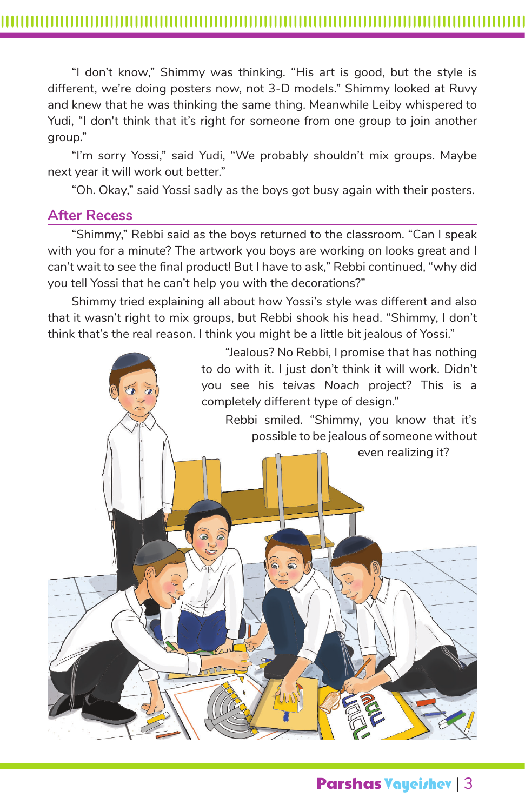"I don't know," Shimmy was thinking. "His art is good, but the style is different, we're doing posters now, not 3-D models." Shimmy looked at Ruvy and knew that he was thinking the same thing. Meanwhile Leiby whispered to Yudi, "I don't think that it's right for someone from one group to join another group."

"I'm sorry Yossi," said Yudi, "We probably shouldn't mix groups. Maybe next year it will work out better."

"Oh. Okay," said Yossi sadly as the boys got busy again with their posters.

#### **After Recess**

"Shimmy," Rebbi said as the boys returned to the classroom. "Can I speak with you for a minute? The artwork you boys are working on looks great and I can't wait to see the final product! But I have to ask," Rebbi continued, "why did you tell Yossi that he can't help you with the decorations?"

Shimmy tried explaining all about how Yossi's style was different and also that it wasn't right to mix groups, but Rebbi shook his head. "Shimmy, I don't think that's the real reason. I think you might be a little bit jealous of Yossi."